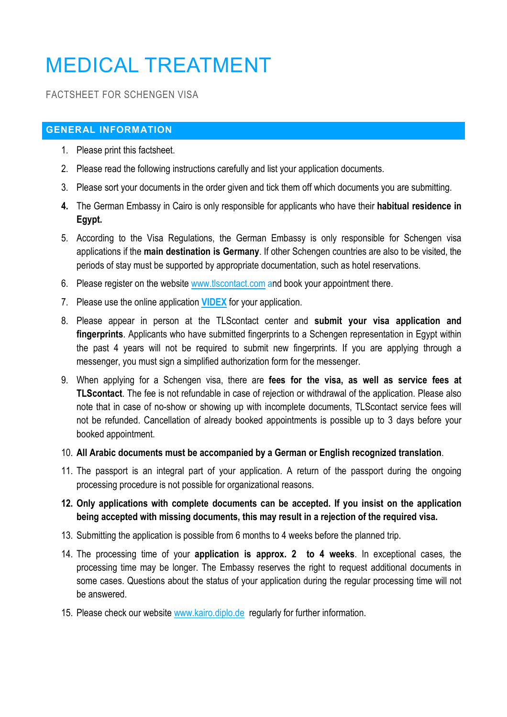# MEDICAL TREATMENT

#### FACTSHEET FOR SCHENGEN VISA

#### **GENERAL INFORMATION**

- 1. Please print this factsheet.
- 2. Please read the following instructions carefully and list your application documents.
- 3. Please sort your documents in the order given and tick them off which documents you are submitting.
- **4.** The German Embassy in Cairo is only responsible for applicants who have their **habitual residence in Egypt.**
- 5. According to the Visa Regulations, the German Embassy is only responsible for Schengen visa applications if the **main destination is Germany**. If other Schengen countries are also to be visited, the periods of stay must be supported by appropriate documentation, such as hotel reservations.
- 6. Please register on the website www.tlscontact.com and book your appointment there.
- 7. Please use the online application **VIDEX** for your application.
- 8. Please appear in person at the TLScontact center and **submit your visa application and fingerprints**. Applicants who have submitted fingerprints to a Schengen representation in Egypt within the past 4 years will not be required to submit new fingerprints. If you are applying through a messenger, you must sign a simplified authorization form for the messenger.
- 9. When applying for a Schengen visa, there are **fees for the visa, as well as service fees at TLScontact**. The fee is not refundable in case of rejection or withdrawal of the application. Please also note that in case of no-show or showing up with incomplete documents, TLScontact service fees will not be refunded. Cancellation of already booked appointments is possible up to 3 days before your booked appointment.

#### 10. **All Arabic documents must be accompanied by a German or English recognized translation**.

11. The passport is an integral part of your application. A return of the passport during the ongoing processing procedure is not possible for organizational reasons.

#### **12. Only applications with complete documents can be accepted. If you insist on the application being accepted with missing documents, this may result in a rejection of the required visa.**

- 13. Submitting the application is possible from 6 months to 4 weeks before the planned trip.
- 14. The processing time of your **application is approx. 2 to 4 weeks**. In exceptional cases, the processing time may be longer. The Embassy reserves the right to request additional documents in some cases. Questions about the status of your application during the regular processing time will not be answered.
- 15. Please check our website www.kairo.diplo.de regularly for further information.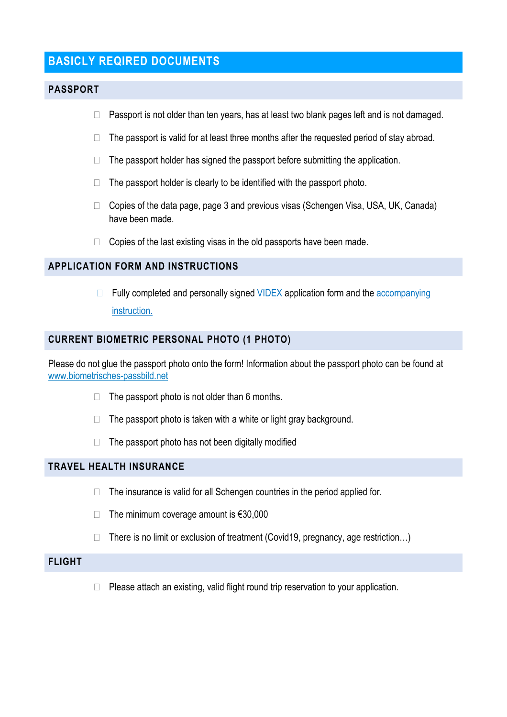## **BASICLY REQIRED DOCUMENTS**

#### **PASSPORT**

- $\Box$  Passport is not older than ten years, has at least two blank pages left and is not damaged.
- $\Box$  The passport is valid for at least three months after the requested period of stay abroad.
- $\Box$  The passport holder has signed the passport before submitting the application.
- $\Box$  The passport holder is clearly to be identified with the passport photo.
- $\Box$  Copies of the data page, page 3 and previous visas (Schengen Visa, USA, UK, Canada) have been made.
- $\Box$  Copies of the last existing visas in the old passports have been made.

#### **APPLICATION FORM AND INSTRUCTIONS**

 $\Box$  Fully completed and personally signed VIDEX application form and the accompanying instruction.

#### **CURRENT BIOMETRIC PERSONAL PHOTO (1 PHOTO)**

Please do not glue the passport photo onto the form! Information about the passport photo can be found at www.biometrisches-passbild.net

- $\Box$  The passport photo is not older than 6 months.
- $\Box$  The passport photo is taken with a white or light gray background.
- $\Box$  The passport photo has not been digitally modified

#### **TRAVEL HEALTH INSURANCE**

- $\Box$  The insurance is valid for all Schengen countries in the period applied for.
- $\Box$  The minimum coverage amount is  $\epsilon$ 30,000
- $\Box$  There is no limit or exclusion of treatment (Covid19, pregnancy, age restriction...)

#### **FLIGHT**

 $\Box$  Please attach an existing, valid flight round trip reservation to your application.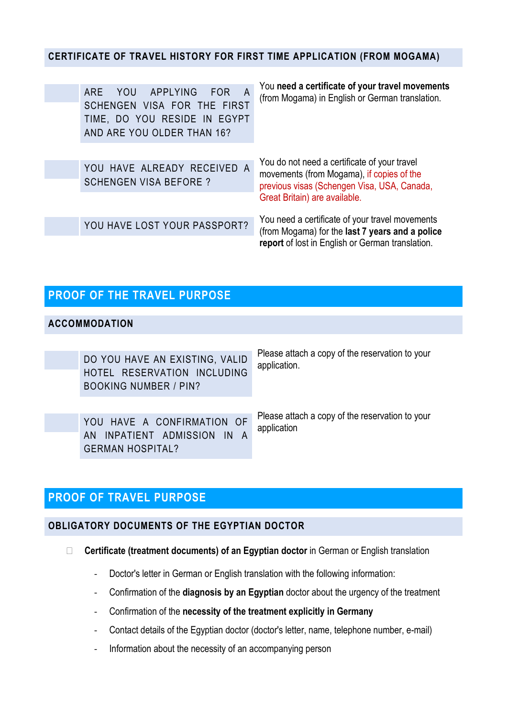#### **CERTIFICATE OF TRAVEL HISTORY FOR FIRST TIME APPLICATION (FROM MOGAMA)**

| ARE YOU APPLYING<br>- FOR<br>A<br>SCHENGEN VISA FOR THE FIRST<br>TIME, DO YOU RESIDE IN EGYPT<br>AND ARE YOU OLDER THAN 16? | You need a certificate of your travel movements<br>(from Mogama) in English or German translation.                                       |
|-----------------------------------------------------------------------------------------------------------------------------|------------------------------------------------------------------------------------------------------------------------------------------|
| YOU HAVE ALREADY RECEIVED A<br><b>SCHENGEN VISA BEFORE?</b>                                                                 | You do not need a certificate of your travel<br>movements (from Mogama), if copies of the<br>previous visas (Schengen Visa, USA, Canada, |
|                                                                                                                             | Great Britain) are available.<br>You need a certificate of your travel movements                                                         |
| YOU HAVE LOST YOUR PASSPORT?                                                                                                | (from Mogama) for the last 7 years and a police<br>report of lost in English or German translation.                                      |

# **PROOF OF THE TRAVEL PURPOSE**

#### **ACCOMMODATION**

| DO YOU HAVE AN EXISTING, VALID<br>HOTEL RESERVATION INCLUDING<br><b>BOOKING NUMBER / PIN?</b> | Please attach a copy of the reservation to your<br>application. |
|-----------------------------------------------------------------------------------------------|-----------------------------------------------------------------|
| YOU HAVE A CONFIRMATION OF<br>AN INPATIENT ADMISSION IN A<br><b>GERMAN HOSPITAL?</b>          | Please attach a copy of the reservation to your<br>application  |

## **PROOF OF TRAVEL PURPOSE**

#### **OBLIGATORY DOCUMENTS OF THE EGYPTIAN DOCTOR**

- **Certificate (treatment documents) of an Egyptian doctor** in German or English translation
	- Doctor's letter in German or English translation with the following information:
	- Confirmation of the **diagnosis by an Egyptian** doctor about the urgency of the treatment
	- Confirmation of the **necessity of the treatment explicitly in Germany**
	- Contact details of the Egyptian doctor (doctor's letter, name, telephone number, e-mail)
	- Information about the necessity of an accompanying person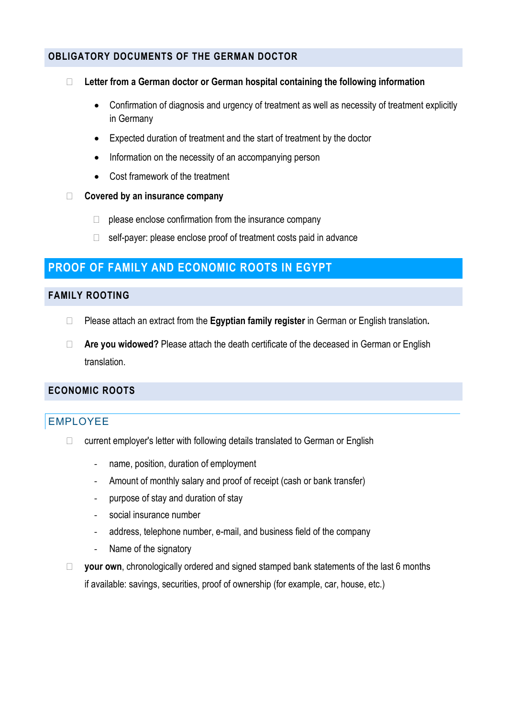#### **OBLIGATORY DOCUMENTS OF THE GERMAN DOCTOR**

#### **Letter from a German doctor or German hospital containing the following information**

- Confirmation of diagnosis and urgency of treatment as well as necessity of treatment explicitly in Germany
- Expected duration of treatment and the start of treatment by the doctor
- Information on the necessity of an accompanying person
- Cost framework of the treatment

#### **Covered by an insurance company**

- $\Box$  please enclose confirmation from the insurance company
- $\Box$  self-payer: please enclose proof of treatment costs paid in advance

## **PROOF OF FAMILY AND ECONOMIC ROOTS IN EGYPT**

#### **FAMILY ROOTING**

- Please attach an extract from the **Egyptian family register** in German or English translation**.**
- **Are you widowed?** Please attach the death certificate of the deceased in German or English translation.

#### **ECONOMIC ROOTS**

## EMPLOYEE

- $\Box$  current employer's letter with following details translated to German or English
	- name, position, duration of employment
	- Amount of monthly salary and proof of receipt (cash or bank transfer)
	- purpose of stay and duration of stay
	- social insurance number
	- address, telephone number, e-mail, and business field of the company
	- Name of the signatory
- □ vour own, chronologically ordered and signed stamped bank statements of the last 6 months if available: savings, securities, proof of ownership (for example, car, house, etc.)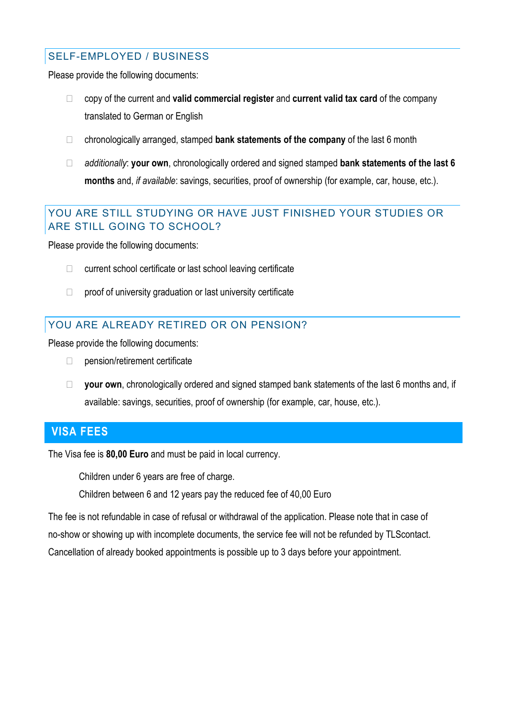#### SELF-EMPLOYED / BUSINESS

Please provide the following documents:

- copy of the current and **valid commercial register** and **current valid tax card** of the company translated to German or English
- chronologically arranged, stamped **bank statements of the company** of the last 6 month
- *additionally*: **your own**, chronologically ordered and signed stamped **bank statements of the last 6 months** and, *if available*: savings, securities, proof of ownership (for example, car, house, etc.).

## YOU ARE STILL STUDYING OR HAVE JUST FINISHED YOUR STUDIES OR ARE STILL GOING TO SCHOOL?

Please provide the following documents:

- $\Box$  current school certificate or last school leaving certificate
- $\Box$  proof of university graduation or last university certificate

## YOU ARE ALREADY RETIRED OR ON PENSION?

Please provide the following documents:

- $\Box$  pension/retirement certificate
- □ your own, chronologically ordered and signed stamped bank statements of the last 6 months and, if available: savings, securities, proof of ownership (for example, car, house, etc.).

## **VISA FEES**

The Visa fee is **80,00 Euro** and must be paid in local currency.

Children under 6 years are free of charge.

Children between 6 and 12 years pay the reduced fee of 40,00 Euro

The fee is not refundable in case of refusal or withdrawal of the application. Please note that in case of no-show or showing up with incomplete documents, the service fee will not be refunded by TLScontact. Cancellation of already booked appointments is possible up to 3 days before your appointment.